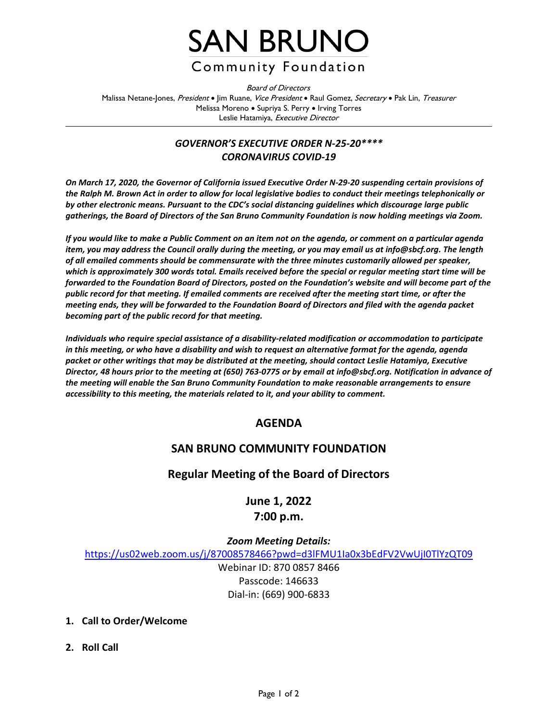

Board of Directors Malissa Netane-Jones, President • Jim Ruane, *Vice President* • Raul Gomez, Secretary • Pak Lin, Treasurer Melissa Moreno • Supriya S. Perry • Irving Torres Leslie Hatamiya, Executive Director

## *GOVERNOR'S EXECUTIVE ORDER N-25-20\*\*\*\* CORONAVIRUS COVID-19*

*On March 17, 2020, the Governor of California issued Executive Order N-29-20 suspending certain provisions of the Ralph M. Brown Act in order to allow for local legislative bodies to conduct their meetings telephonically or by other electronic means. Pursuant to the CDC's social distancing guidelines which discourage large public gatherings, the Board of Directors of the San Bruno Community Foundation is now holding meetings via Zoom.*

*If you would like to make a Public Comment on an item not on the agenda, or comment on a particular agenda item, you may address the Council orally during the meeting, or you may email us at info@sbcf.org. The length of all emailed comments should be commensurate with the three minutes customarily allowed per speaker, which is approximately 300 words total. Emails received before the special or regular meeting start time will be forwarded to the Foundation Board of Directors, posted on the Foundation's website and will become part of the public record for that meeting. If emailed comments are received after the meeting start time, or after the meeting ends, they will be forwarded to the Foundation Board of Directors and filed with the agenda packet becoming part of the public record for that meeting.*

*Individuals who require special assistance of a disability-related modification or accommodation to participate in this meeting, or who have a disability and wish to request an alternative format for the agenda, agenda packet or other writings that may be distributed at the meeting, should contact Leslie Hatamiya, Executive Director, 48 hours prior to the meeting at (650) 763-0775 or by email at info@sbcf.org. Notification in advance of the meeting will enable the San Bruno Community Foundation to make reasonable arrangements to ensure accessibility to this meeting, the materials related to it, and your ability to comment.*

## **AGENDA**

## **SAN BRUNO COMMUNITY FOUNDATION**

## **Regular Meeting of the Board of Directors**

# **June 1, 2022 7:00 p.m.**

### *Zoom Meeting Details:*

<https://us02web.zoom.us/j/87008578466?pwd=d3lFMU1Ia0x3bEdFV2VwUjI0TlYzQT09>

Webinar ID: 870 0857 8466 Passcode: 146633 Dial-in: (669) 900-6833

- **1. Call to Order/Welcome**
- **2. Roll Call**